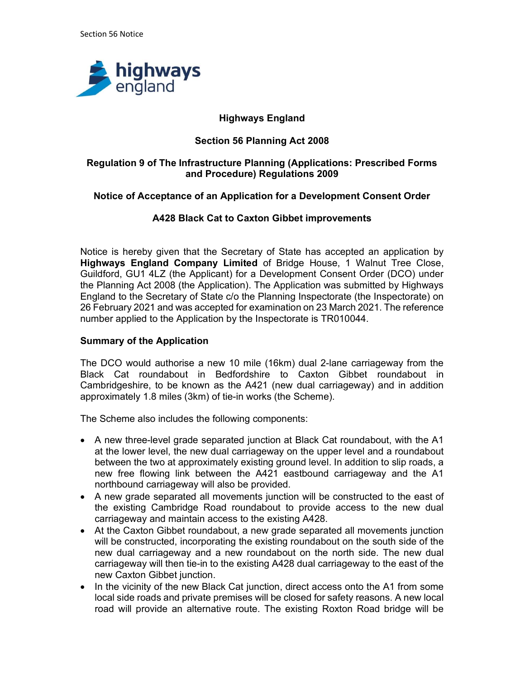

# Highways England

# Section 56 Planning Act 2008

## Regulation 9 of The Infrastructure Planning (Applications: Prescribed Forms and Procedure) Regulations 2009

## Notice of Acceptance of an Application for a Development Consent Order

## A428 Black Cat to Caxton Gibbet improvements

Notice is hereby given that the Secretary of State has accepted an application by Highways England Company Limited of Bridge House, 1 Walnut Tree Close, Guildford, GU1 4LZ (the Applicant) for a Development Consent Order (DCO) under the Planning Act 2008 (the Application). The Application was submitted by Highways England to the Secretary of State c/o the Planning Inspectorate (the Inspectorate) on 26 February 2021 and was accepted for examination on 23 March 2021. The reference number applied to the Application by the Inspectorate is TR010044.

#### Summary of the Application

The DCO would authorise a new 10 mile (16km) dual 2-lane carriageway from the Black Cat roundabout in Bedfordshire to Caxton Gibbet roundabout in Cambridgeshire, to be known as the A421 (new dual carriageway) and in addition approximately 1.8 miles (3km) of tie-in works (the Scheme).

The Scheme also includes the following components:

- A new three-level grade separated junction at Black Cat roundabout, with the A1 at the lower level, the new dual carriageway on the upper level and a roundabout between the two at approximately existing ground level. In addition to slip roads, a new free flowing link between the A421 eastbound carriageway and the A1 northbound carriageway will also be provided.
- A new grade separated all movements junction will be constructed to the east of the existing Cambridge Road roundabout to provide access to the new dual carriageway and maintain access to the existing A428.
- At the Caxton Gibbet roundabout, a new grade separated all movements junction will be constructed, incorporating the existing roundabout on the south side of the new dual carriageway and a new roundabout on the north side. The new dual carriageway will then tie-in to the existing A428 dual carriageway to the east of the new Caxton Gibbet junction.
- In the vicinity of the new Black Cat junction, direct access onto the A1 from some local side roads and private premises will be closed for safety reasons. A new local road will provide an alternative route. The existing Roxton Road bridge will be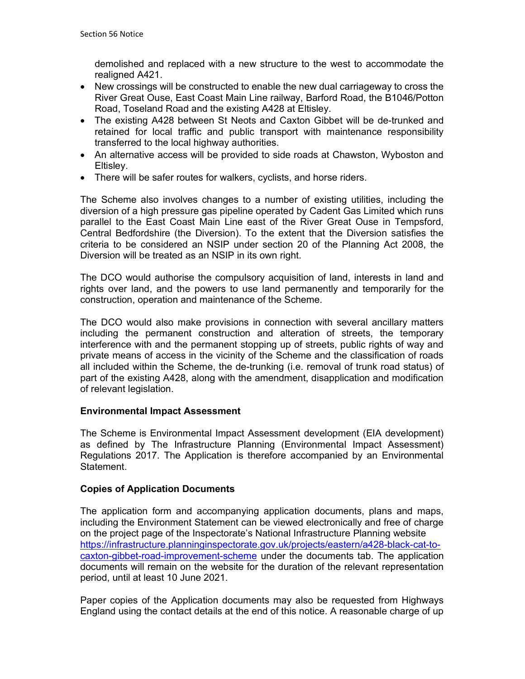demolished and replaced with a new structure to the west to accommodate the realigned A421.

- New crossings will be constructed to enable the new dual carriageway to cross the River Great Ouse, East Coast Main Line railway, Barford Road, the B1046/Potton Road, Toseland Road and the existing A428 at Eltisley.
- The existing A428 between St Neots and Caxton Gibbet will be de-trunked and retained for local traffic and public transport with maintenance responsibility transferred to the local highway authorities.
- An alternative access will be provided to side roads at Chawston, Wyboston and Eltisley.
- There will be safer routes for walkers, cyclists, and horse riders.

The Scheme also involves changes to a number of existing utilities, including the diversion of a high pressure gas pipeline operated by Cadent Gas Limited which runs parallel to the East Coast Main Line east of the River Great Ouse in Tempsford, Central Bedfordshire (the Diversion). To the extent that the Diversion satisfies the criteria to be considered an NSIP under section 20 of the Planning Act 2008, the Diversion will be treated as an NSIP in its own right.

The DCO would authorise the compulsory acquisition of land, interests in land and rights over land, and the powers to use land permanently and temporarily for the construction, operation and maintenance of the Scheme.

The DCO would also make provisions in connection with several ancillary matters including the permanent construction and alteration of streets, the temporary interference with and the permanent stopping up of streets, public rights of way and private means of access in the vicinity of the Scheme and the classification of roads all included within the Scheme, the de-trunking (i.e. removal of trunk road status) of part of the existing A428, along with the amendment, disapplication and modification of relevant legislation.

## Environmental Impact Assessment

The Scheme is Environmental Impact Assessment development (EIA development) as defined by The Infrastructure Planning (Environmental Impact Assessment) Regulations 2017. The Application is therefore accompanied by an Environmental Statement.

# Copies of Application Documents

The application form and accompanying application documents, plans and maps, including the Environment Statement can be viewed electronically and free of charge on the project page of the Inspectorate's National Infrastructure Planning website https://infrastructure.planninginspectorate.gov.uk/projects/eastern/a428-black-cat-tocaxton-gibbet-road-improvement-scheme under the documents tab. The application documents will remain on the website for the duration of the relevant representation period, until at least 10 June 2021.

Paper copies of the Application documents may also be requested from Highways England using the contact details at the end of this notice. A reasonable charge of up